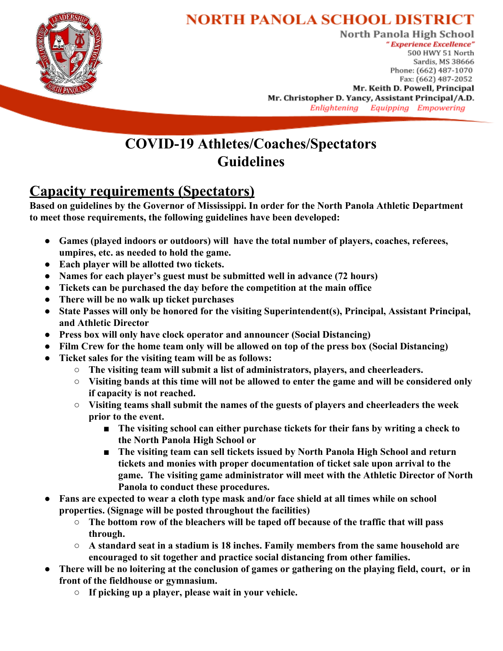

# **NORTH PANOLA SCHOOL DISTRICT**

North Panola High School "Experience Excellence" 500 HWY 51 North Sardis, MS 38666 Phone: (662) 487-1070 Fax: (662) 487-2052 Mr. Keith D. Powell, Principal Mr. Christopher D. Yancy, Assistant Principal/A.D. Enlightening Equipping Empowering

#### **COVID-19 Athletes/Coaches/Spectators Guidelines**

## **Capacity requirements (Spectators)**

**Based on guidelines by the Governor of Mississippi. In order for the North Panola Athletic Department to meet those requirements, the following guidelines have been developed:**

- **● Games (played indoors or outdoors) will have the total number of players, coaches, referees, umpires, etc. as needed to hold the game.**
- **● Each player will be allotted two tickets.**
- **● Names for each player's guest must be submitted well in advance (72 hours)**
- **● Tickets can be purchased the day before the competition at the main office**
- **● There will be no walk up ticket purchases**
- **● State Passes will only be honored for the visiting Superintendent(s), Principal, Assistant Principal, and Athletic Director**
- **● Press box will only have clock operator and announcer (Social Distancing)**
- **● Film Crew for the home team only will be allowed on top of the press box (Social Distancing)**
- **● Ticket sales for the visiting team will be as follows:**
	- **○ The visiting team will submit a list of administrators, players, and cheerleaders.**
	- **○ Visiting bands at this time will not be allowed to enter the game and will be considered only if capacity is not reached.**
	- **○ Visiting teams shall submit the names of the guests of players and cheerleaders the week prior to the event.**
		- The visiting school can either purchase tickets for their fans by writing a check to **the North Panola High School or**
		- The visiting team can sell tickets issued by North Panola High School and return **tickets and monies with proper documentation of ticket sale upon arrival to the game. The visiting game administrator will meet with the Athletic Director of North Panola to conduct these procedures.**
- **● Fans are expected to wear a cloth type mask and/or face shield at all times while on school properties. (Signage will be posted throughout the facilities)**
	- **○ The bottom row of the bleachers will be taped off because of the traffic that will pass through.**
	- **○ A standard seat in a stadium is 18 inches. Family members from the same household are encouraged to sit together and practice social distancing from other families.**
- **● There will be no loitering at the conclusion of games or gathering on the playing field, court, or in front of the fieldhouse or gymnasium.**
	- **○ If picking up a player, please wait in your vehicle.**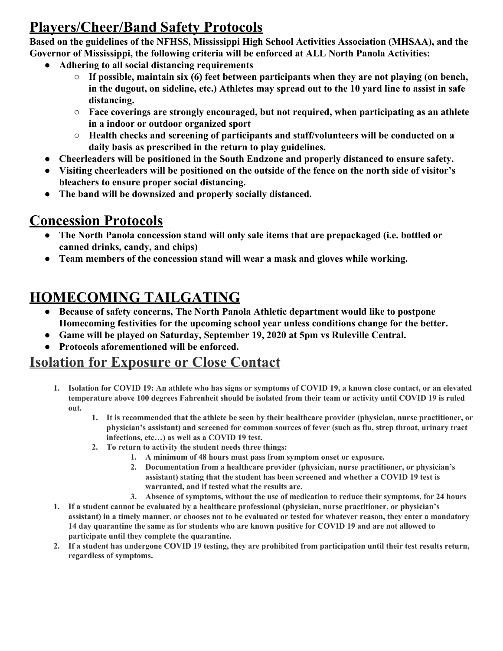## **Players/Cheer/Band Safety Protocols**

**Based on the guidelines of the NFHSS, Mississippi High School Activities Association (MHSAA), and the Governor of Mississippi, the following criteria will be enforced at ALL North Panola Activities:**

- **● Adhering to all social distancing requirements**
	- **○ If possible, maintain six (6) feet between participants when they are not playing (on bench, in the dugout, on sideline, etc.) Athletes may spread out to the 10 yard line to assist in safe distancing.**
	- **○ Face coverings are strongly encouraged, but not required, when participating as an athlete in a indoor or outdoor organized sport**
	- **○ Health checks and screening of participants and staff/volunteers will be conducted on a daily basis as prescribed in the return to play guidelines.**
- **● Cheerleaders will be positioned in the South Endzone and properly distanced to ensure safety.**
- **● Visiting cheerleaders will be positioned on the outside of the fence on the north side of visitor's bleachers to ensure proper social distancing.**
- **● The band will be downsized and properly socially distanced.**

#### **Concession Protocols**

- **● The North Panola concession stand will only sale items that are prepackaged (i.e. bottled or canned drinks, candy, and chips)**
- **● Team members of the concession stand will wear a mask and gloves while working.**

# **HOMECOMING TAILGATING**

- **● Because of safety concerns, The North Panola Athletic department would like to postpone Homecoming festivities for the upcoming school year unless conditions change for the better.**
- **● Game will be played on Saturday, September 19, 2020 at 5pm vs Ruleville Central.**
- **● Protocols aforementioned will be enforced.**

## **Isolation for Exposure or Close Contact**

- 1. Isolation for COVID 19: An athlete who has signs or symptoms of COVID 19, a known close contact, or an elevated temperature above 100 degrees Fahrenheit should be isolated from their team or activity until COVID 19 is ruled **out.**
	- 1. It is recommended that the athlete be seen by their healthcare provider (physician, nurse practitioner, or **physician's assistant) and screened for common sources of fever (such as flu, strep throat, urinary tract infections, etc…) as well as a COVID 19 test.**
	- **2. To return to activity the student needs three things:**
		- **1. A minimum of 48 hours must pass from symptom onset or exposure.**
		- **2. Documentation from a healthcare provider (physician, nurse practitioner, or physician's assistant) stating that the student has been screened and whether a COVID 19 test is warranted, and if tested what the results are.**
		- **3. Absence of symptoms, without the use of medication to reduce their symptoms, for 24 hours**
- **1. If a student cannot be evaluated by a healthcare professional (physician, nurse practitioner, or physician's** assistant) in a timely manner, or chooses not to be evaluated or tested for whatever reason, they enter a mandatory 14 day quarantine the same as for students who are known positive for COVID 19 and are not allowed to **participate until they complete the quarantine.**
- 2. If a student has undergone COVID 19 testing, they are prohibited from participation until their test results return, **regardless of symptoms.**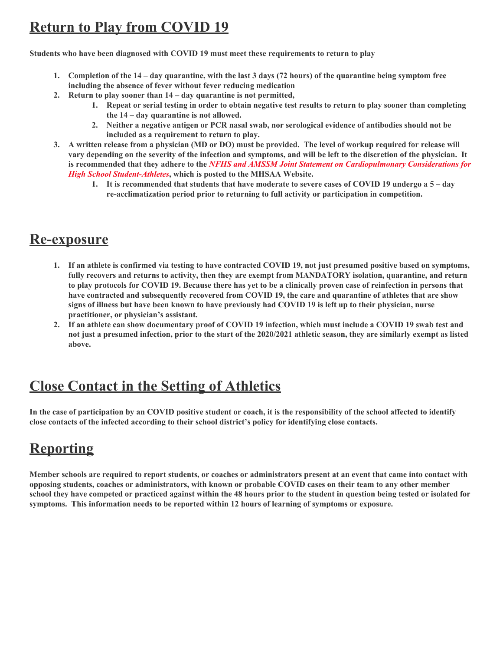# **Return to Play from COVID 19**

**Students who have been diagnosed with COVID 19 must meet these requirements to return to play**

- 1. Completion of the 14 day quarantine, with the last 3 days (72 hours) of the quarantine being symptom free **including the absence of fever without fever reducing medication**
- **2. Return to play sooner than 14 – day quarantine is not permitted,**
	- 1. Repeat or serial testing in order to obtain negative test results to return to play sooner than completing **the 14 – day quarantine is not allowed.**
	- **2. Neither a negative antigen or PCR nasal swab, nor serological evidence of antibodies should not be included as a requirement to return to play.**
- 3. A written release from a physician (MD or DO) must be provided. The level of workup required for release will vary depending on the severity of the infection and symptoms, and will be left to the discretion of the physician. It **is recommended that they adhere to the** *NFHS and AMSSM Joint Statement on [Cardiopulmonary](https://www.misshsaa.com/2020/08/09/nfhs-amssm-guidance-for-assessing-cardiac-issues-in-athletes-with-covid-19/) Considerations for High School [Student-Athletes](https://www.misshsaa.com/2020/08/09/nfhs-amssm-guidance-for-assessing-cardiac-issues-in-athletes-with-covid-19/)***, which is posted to the MHSAA Website.**
	- 1. It is recommended that students that have moderate to severe cases of COVID 19 undergo a 5 day **re-acclimatization period prior to returning to full activity or participation in competition.**

#### **Re-exposure**

- 1. If an athlete is confirmed via testing to have contracted COVID 19, not just presumed positive based on symptoms, **fully recovers and returns to activity, then they are exempt from MANDATORY isolation, quarantine, and return** to play protocols for COVID 19. Because there has yet to be a clinically proven case of reinfection in persons that have contracted and subsequently recovered from COVID 19, the care and quarantine of athletes that are show signs of illness but have been known to have previously had COVID 19 is left up to their physician, nurse **practitioner, or physician's assistant.**
- 2. If an athlete can show documentary proof of COVID 19 infection, which must include a COVID 19 swab test and not just a presumed infection, prior to the start of the 2020/2021 athletic season, they are similarly exempt as listed **above.**

#### **Close Contact in the Setting of Athletics**

In the case of participation by an COVID positive student or coach, it is the responsibility of the school affected to identify **close contacts of the infected according to their school district's policy for identifying close contacts.**

# **Reporting**

Member schools are required to report students, or coaches or administrators present at an event that came into contact with opposing students, coaches or administrators, with known or probable COVID cases on their team to any other member school they have competed or practiced against within the 48 hours prior to the student in question being tested or isolated for **symptoms. This information needs to be reported within 12 hours of learning of symptoms or exposure.**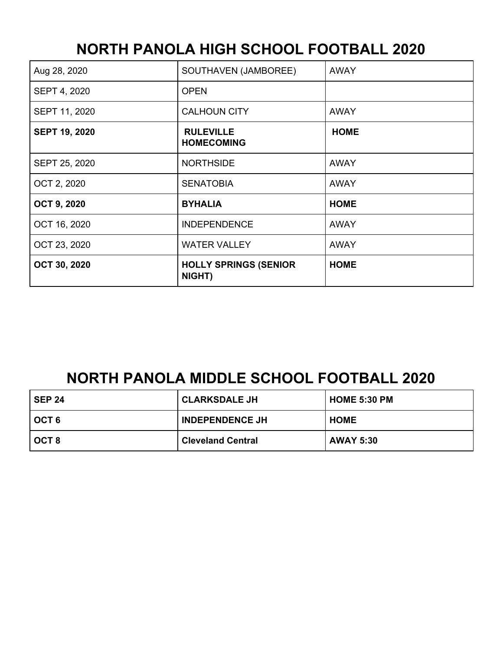# **NORTH PANOLA HIGH SCHOOL FOOTBALL 2020**

| Aug 28, 2020         | SOUTHAVEN (JAMBOREE)                   | <b>AWAY</b> |
|----------------------|----------------------------------------|-------------|
| SEPT 4, 2020         | <b>OPEN</b>                            |             |
| SEPT 11, 2020        | <b>CALHOUN CITY</b>                    | <b>AWAY</b> |
| <b>SEPT 19, 2020</b> | <b>RULEVILLE</b><br><b>HOMECOMING</b>  | <b>HOME</b> |
| SEPT 25, 2020        | <b>NORTHSIDE</b>                       | <b>AWAY</b> |
| OCT 2, 2020          | <b>SENATOBIA</b>                       | <b>AWAY</b> |
| <b>OCT 9, 2020</b>   | <b>BYHALIA</b>                         | <b>HOME</b> |
| OCT 16, 2020         | <b>INDEPENDENCE</b>                    | <b>AWAY</b> |
| OCT 23, 2020         | <b>WATER VALLEY</b>                    | <b>AWAY</b> |
| OCT 30, 2020         | <b>HOLLY SPRINGS (SENIOR</b><br>NIGHT) | <b>HOME</b> |

# **NORTH PANOLA MIDDLE SCHOOL FOOTBALL 2020**

| <b>SEP 24</b> | <b>CLARKSDALE JH</b>     | <b>HOME 5:30 PM</b> |
|---------------|--------------------------|---------------------|
| OCT 6         | <b>INDEPENDENCE JH</b>   | <b>HOME</b>         |
| OCT 8         | <b>Cleveland Central</b> | <b>AWAY 5:30</b>    |